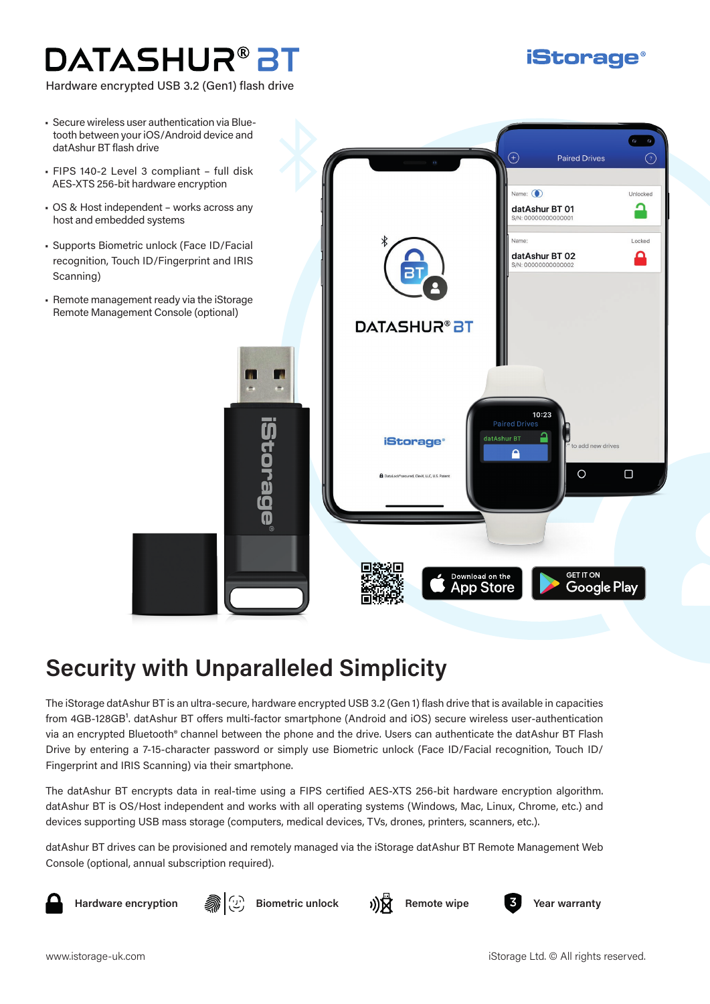# DATASHUR® BT

Hardware encrypted USB 3.2 (Gen1) flash drive

- Secure wireless user authentication via Bluetooth between your iOS/Android device and datAshur BT flash drive
- FIPS 140-2 Level 3 compliant full disk AES-XTS 256-bit hardware encryption
- OS & Host independent works across any host and embedded systems
- Supports Biometric unlock (Face ID/Facial recognition, Touch ID/Fingerprint and IRIS Scanning)
- Remote management ready via the iStorage Remote Management Console (optional)



## **Security with Unparalleled Simplicity**

The iStorage datAshur BT is an ultra-secure, hardware encrypted USB 3.2 (Gen 1) flash drive that is available in capacities from 4GB-128GB<sup>1</sup>. datAshur BT offers multi-factor smartphone (Android and iOS) secure wireless user-authentication via an encrypted Bluetooth® channel between the phone and the drive. Users can authenticate the datAshur BT Flash Drive by entering a 7-15-character password or simply use Biometric unlock (Face ID/Facial recognition, Touch ID/ Fingerprint and IRIS Scanning) via their smartphone.

The datAshur BT encrypts data in real-time using a FIPS certified AES-XTS 256-bit hardware encryption algorithm. datAshur BT is OS/Host independent and works with all operating systems (Windows, Mac, Linux, Chrome, etc.) and devices supporting USB mass storage (computers, medical devices, TVs, drones, printers, scanners, etc.).

datAshur BT drives can be provisioned and remotely managed via the iStorage datAshur BT Remote Management Web Console (optional, annual subscription required).